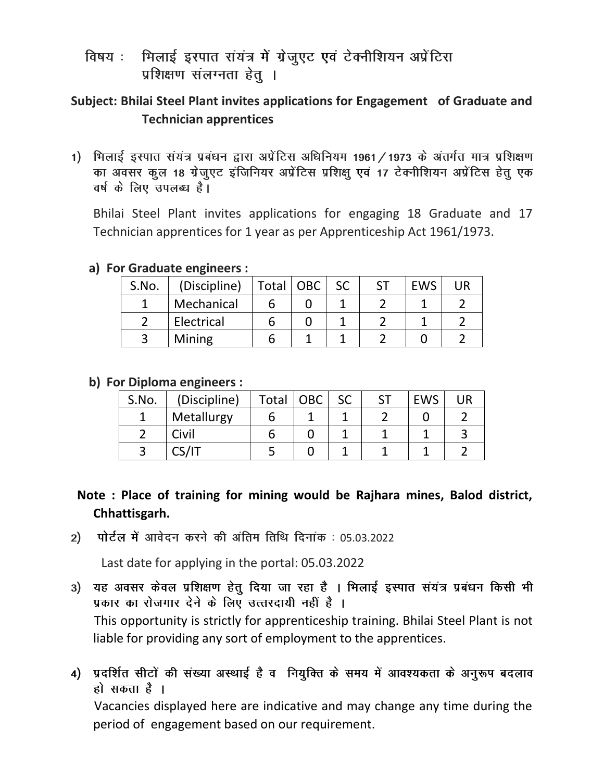भिलाई इस्पात संयंत्र में ग्रेजुएट एवं टेक्नीशियन अप्रेंटिस विषय : प्रशिक्षण संलग्नता हेतू ।

## **Subject: Bhilai Steel Plant invites applications for Engagement of Graduate and Technician apprentices**

1) भिलाई इस्पात संयंत्र प्रबंधन द्वारा अप्रेंटिस अधिनियम 1961 / 1973 के अंतर्गत मात्र प्रशिक्षण का अवसर कुल 18 ग्रेजुएट इंजिनियर अप्रेंटिस प्रशिक्षु एवं 17 टेक्नीशियन अप्रेंटिस हेतु एक वर्ष के लिए उपलब्ध है।

Bhilai Steel Plant invites applications for engaging 18 Graduate and 17 Technician apprentices for 1 year as per Apprenticeship Act 1961/1973.

### **a) For Graduate engineers :**

| S.No. | (Discipline) | Total   OBC | <b>SC</b> | <b>EWS</b> |  |
|-------|--------------|-------------|-----------|------------|--|
|       | Mechanical   |             |           |            |  |
|       | Electrical   |             |           |            |  |
|       | Mining       |             |           |            |  |

### **b) For Diploma engineers :**

| S.No. | (Discipline) | Total | OBC | <b>SC</b> | <b>EWS</b> | $\overline{\mathsf{I}}$ |
|-------|--------------|-------|-----|-----------|------------|-------------------------|
|       | Metallurgy   |       |     |           |            |                         |
|       | Civil        |       |     |           |            |                         |
|       |              |       |     |           |            |                         |

# **Note : Place of training for mining would be Rajhara mines, Balod district, Chhattisgarh.**

पोर्टल में आवेदन करने की अंतिम तिथि दिनांक: 05.03.2022  $2)$ 

Last date for applying in the portal: 05.03.2022

- यह अवसर केवल प्रशिक्षण हेतु दिया जा रहा है । भिलाई इस्पात संयंत्र प्रबंधन किसी भी  $3)$ प्रकार का रोजगार देने के लिए उत्तरदायी नहीं है । This opportunity is strictly for apprenticeship training. Bhilai Steel Plant is not liable for providing any sort of employment to the apprentices.
- 4) प्रदर्शित सीटों की संख्या अस्थाई है व नियुक्ति के समय में आवश्यकता के अनुरूप बदलाव हो सकता है ।

Vacancies displayed here are indicative and may change any time during the period of engagement based on our requirement.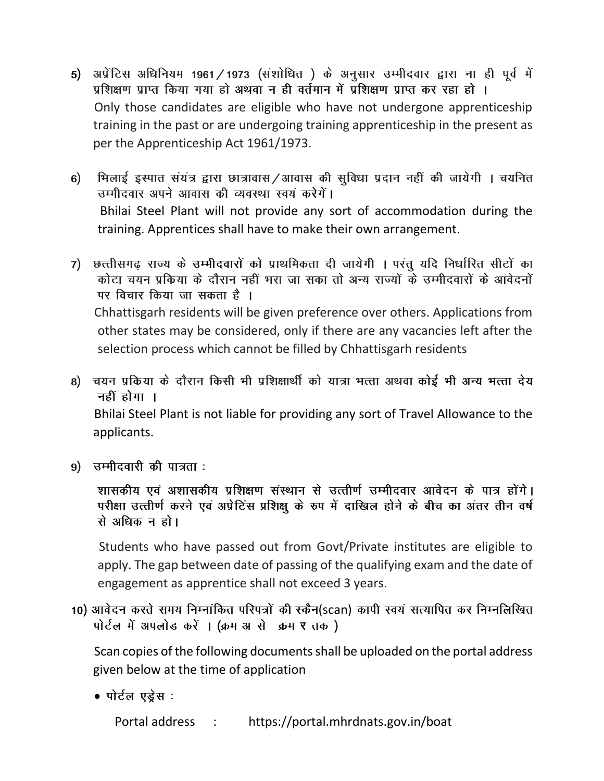- 5) अप्रेंटिस अधिनियम 1961/1973 (संशोधित) के अनुसार उम्मीदवार द्वारा ना ही पूर्व में प्रशिक्षण प्राप्त किया गया हो अथवा न ही वर्तमान में प्रशिक्षण प्राप्त कर रहा हो । Only those candidates are eligible who have not undergone apprenticeship training in the past or are undergoing training apprenticeship in the present as per the Apprenticeship Act 1961/1973.
- भिलाई इस्पात संयंत्र द्वारा छात्रावास/आवास की सुविधा प्रदान नहीं की जायेगी । चयनित  $6)$ उम्मीदवार अपने आवास की व्यवस्था स्वयं करेगें। Bhilai Steel Plant will not provide any sort of accommodation during the training. Apprentices shall have to make their own arrangement.
- 7) छत्तीसगढ राज्य के उम्मीदवारों को प्राथमिकता दी जायेगी । परंतु यदि निर्धारित सीटों का कोटा चयन प्रकिया के दौरान नहीं भरा जा सका तो अन्य राज्यों के उम्मीदवारों के आवेदनों पर विचार किया जा सकता है । Chhattisgarh residents will be given preference over others. Applications from other states may be considered, only if there are any vacancies left after the selection process which cannot be filled by Chhattisgarh residents
- 8) चयन प्रकिया के दौरान किसी भी प्रशिक्षार्थी को यात्रा भत्ता अथवा कोई भी अन्य भत्ता देय नहीं होगा । Bhilai Steel Plant is not liable for providing any sort of Travel Allowance to the applicants.
- 9) उम्मीदवारी की पात्रता:

शासकीय एवं अशासकीय प्रशिक्षण संस्थान से उत्तीर्ण उम्मीदवार आवेदन के पात्र होंगे। परीक्षा उत्तीर्ण करने एवं अप्रेटिंस प्रशिक्षु के रुप में दाखिल होने के बीच का अंतर तीन वर्ष से अधिक न हो।

 Students who have passed out from Govt/Private institutes are eligible to apply. The gap between date of passing of the qualifying exam and the date of engagement as apprentice shall not exceed 3 years.

10) आवेदन करते समय निम्नांकित परिपत्रों की स्कैन(scan) कापी स्वयं सत्यापित कर निम्नलिखित पोर्टल में अपलोड करें । (क्रम अ से क्रम र तक)

Scan copies of the following documents shall be uploaded on the portal address given below at the time of application

• पोर्टल एड़ेस :

Portal address : https://portal.mhrdnats.gov.in/boat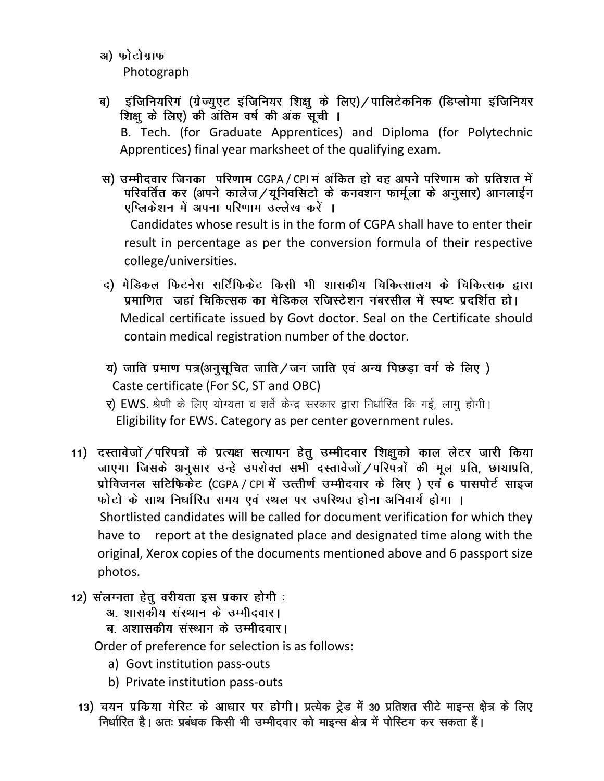- अ) फोटोग्राफ Photograph
- ब) इंजिनियरिगं (ग्रेज्युएट इंजिनियर शिक्षु के लिए) / पालिटेकनिक (डिप्लोमा इंजिनियर शिक्षु के लिए) की अंतिम वर्ष की अंक सूची । B. Tech. (for Graduate Apprentices) and Diploma (for Polytechnic Apprentices) final year marksheet of the qualifying exam.
- स) उम्मीदवार जिनका परिणाम CGPA / CPI म अंकित हो वह अपने परिणाम को प्रतिशत में<br>परिवर्तित कर (अपने कालेज / यूनिवसिटो के कनवशन फार्मूला के अनुसार) आनलाईन एप्लिकेशन में अपना परिणाम उल्लेख करें । Candidates whose result is in the form of CGPA shall have to enter their result in percentage as per the conversion formula of their respective college/universities.
- द) मेडिकल फिटनेस सर्टिफिकेट किसी भी शासकीय चिकित्सालय के चिकित्सक द्वारा प्रमाणित जहां चिकित्सक का मेडिकल रजिस्टेशन नंबरसील में स्पष्ट प्रदर्शित हो। Medical certificate issued by Govt doctor. Seal on the Certificate should contain medical registration number of the doctor.
- य) जाति प्रमाण पत्र(अनुसूचित जाति / जन जाति एवं अन्य पिछड़ा वर्ग के लिए) Caste certificate (For SC, ST and OBC)
- र) EWS. श्रेणी के लिए योग्यता व शर्ते केन्द्र सरकार द्वारा निर्धारित कि गई, लागू होगी। Eligibility for EWS. Category as per center government rules.
- 11) दस्तावेजों / परिपत्रों के प्रत्यक्ष सत्यापन हेतु उम्मीदवार शिक्षुको काल लेटर जारी किया जाएगा जिसके अनुसार उन्हे उपरोक्त सभी दस्तावेजों /परिपत्रों की मूल प्रति, छायाप्रति, प्रोविजनल सटिफिकेट (CGPA / CPI में उत्त्तीर्ण उम्मीदवार के लिए) एवं 6 पासपोर्ट साइज फोटो के साथ निर्धारित समय एवं स्थल पर उपस्थित होना अनिवार्य होगा । Shortlisted candidates will be called for document verification for which they have to report at the designated place and designated time along with the original, Xerox copies of the documents mentioned above and 6 passport size photos.
- 12) संलग्नता हेतू वरीयता इस प्रकार होगी :
	- अ. शासकीय संस्थान के उम्मीदवार।
	- ब. अशासकीय संस्थान के उम्मीदवार।

Order of preference for selection is as follows:

- a) Govt institution pass-outs
- b) Private institution pass-outs
- 13) चयन प्रकिया मेरिट के आधार पर होगी। प्रत्येक ट्रेड में 30 प्रतिशत सीटे माइन्स क्षेत्र के लिए निर्धारित है। अतः प्रबंधक किसी भी उम्मीदवार को माइन्स क्षेत्र में पोस्टिग कर सकता हैं।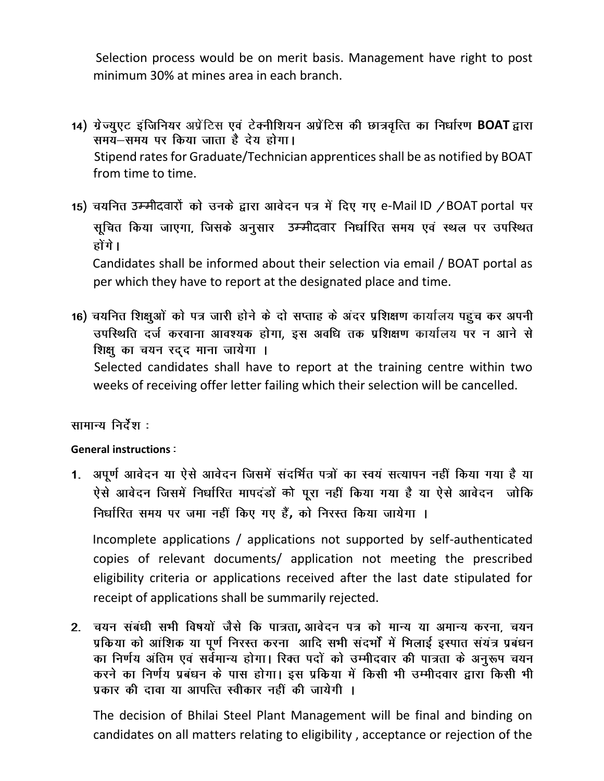Selection process would be on merit basis. Management have right to post minimum 30% at mines area in each branch.

- 14) ग्रेज्युएट इंजिनियर अप्रेंटिस एवं टेक्नीशियन अप्रेंटिस की छात्रवृत्ति का निर्धारण BOAT द्वारा समय-समय पर किया जाता है देय होगा। Stipend rates for Graduate/Technician apprenticesshall be as notified by BOAT from time to time.
- 15) चयनित उम्मीदवारों को उनके द्वारा आवेदन पत्र में दिए गए e-Mail ID / BOAT portal पर सूचित किया जाएगा, जिसके अनुसार उम्मीदवार निर्धारित समय एवं स्थल पर उपस्थित होंगे।

 Candidates shall be informed about their selection via email / BOAT portal as per which they have to report at the designated place and time.

16) चयनित शिक्षुओं को पत्र जारी होने के दो सप्ताह के अंदर प्रशिक्षण कार्यालय पहुंच कर अपनी उपस्थिति दर्ज करवाना आवश्यक होगा, इस अवधि तक प्रशिक्षण कार्यालय पर न आने से शिक्षु का चयन रद्द माना जायेगा ।

Selected candidates shall have to report at the training centre within two weeks of receiving offer letter failing which their selection will be cancelled.

## सामान्य निर्देश :

## **General instructions**

1. अपूर्ण आवेदन या ऐसे आवेदन जिसमें संदर्भित पत्रों का स्वयं सत्यापन नहीं किया गया है या ऐसे आवेदन जिसमें निर्धारित मापदंडों को पूरा नहीं किया गया है या ऐसे आवेदन जोकि निर्धारित समय पर जमा नहीं किए गए हैं, को निरस्त किया जायेगा ।

 Incomplete applications / applications not supported by self-authenticated copies of relevant documents/ application not meeting the prescribed eligibility criteria or applications received after the last date stipulated for receipt of applications shall be summarily rejected.

2. चयन संबंधी सभी विषयों जैसे कि पात्रता, आवेदन पत्र को मान्य या अमान्य करना, चयन<br>प्रकिया को आंशिक या पूर्ण निरस्त करना आदि सभी संदर्भों में भिलाई इस्पात संयंत्र प्रबंधन का निर्णय अंतिम एवं सर्वमान्य होगा। रिक्त पदों को उम्मीदवार की पात्रता के अनुरूप चयन करने का निर्णय प्रबंधन के पास होगा। इस प्रकिया में किसी भी उम्मीदवार द्वारा किसी भी प्रकार की दावा या आपत्ति स्वीकार नहीं की जायेगी ।

The decision of Bhilai Steel Plant Management will be final and binding on candidates on all matters relating to eligibility , acceptance or rejection of the